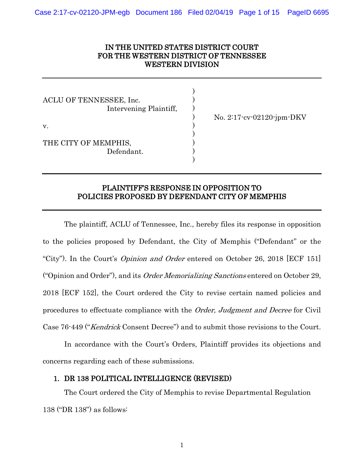## IN THE UNITED STATES DISTRICT COURT FOR THE WESTERN DISTRICT OF TENNESSEE WESTERN DIVISION

)

)

| ACLU OF TENNESSEE, Inc.<br>Intervening Plaintiff, |  |
|---------------------------------------------------|--|
| $V_{\cdot}$                                       |  |
| THE CITY OF MEMPHIS,<br>Defendant.                |  |
|                                                   |  |

 $)$  No. 2:17-cv-02120-jpm-DKV

# PLAINTIFF'S RESPONSE IN OPPOSITION TO POLICIES PROPOSED BY DEFENDANT CITY OF MEMPHIS

The plaintiff, ACLU of Tennessee, Inc., hereby files its response in opposition to the policies proposed by Defendant, the City of Memphis ("Defendant" or the "City"). In the Court's *Opinion and Order* entered on October 26, 2018 [ECF 151] ("Opinion and Order"), and its Order Memorializing Sanctions entered on October 29, 2018 [ECF 152], the Court ordered the City to revise certain named policies and procedures to effectuate compliance with the Order, Judgment and Decree for Civil Case 76-449 ("Kendrick Consent Decree") and to submit those revisions to the Court.

In accordance with the Court's Orders, Plaintiff provides its objections and concerns regarding each of these submissions.

#### 1. DR 138 POLITICAL INTELLIGENCE (REVISED)

The Court ordered the City of Memphis to revise Departmental Regulation 138 ("DR 138") as follows: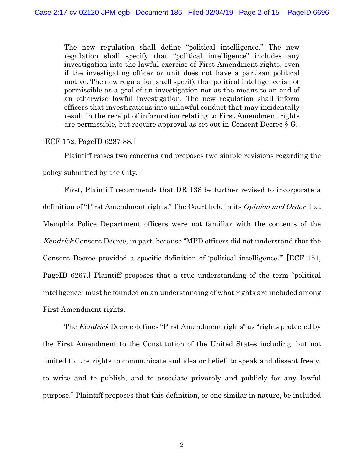The new regulation shall define "political intelligence." The new regulation shall specify that "political intelligence" includes any investigation into the lawful exercise of First Amendment rights, even if the investigating officer or unit does not have a partisan political motive. The new regulation shall specify that political intelligence is not permissible as a goal of an investigation nor as the means to an end of an otherwise lawful investigation. The new regulation shall inform officers that investigations into unlawful conduct that may incidentally result in the receipt of information relating to First Amendment rights are permissible, but require approval as set out in Consent Decree  $\S G$ .

[ECF 152, PageID 6287-88.]

Plaintiff raises two concerns and proposes two simple revisions regarding the policy submitted by the City.

First, Plaintiff recommends that DR 138 be further revised to incorporate a definition of "First Amendment rights." The Court held in its Opinion and Order that Memphis Police Department officers were not familiar with the contents of the Kendrick Consent Decree, in part, because "MPD officers did not understand that the Consent Decree provided a specific definition of 'political intelligence.'" [ECF 151, PageID 6267.] Plaintiff proposes that a true understanding of the term "political intelligence" must be founded on an understanding of what rights are included among First Amendment rights.

The *Kendrick* Decree defines "First Amendment rights" as "rights protected by the First Amendment to the Constitution of the United States including, but not limited to, the rights to communicate and idea or belief, to speak and dissent freely, to write and to publish, and to associate privately and publicly for any lawful purpose." Plaintiff proposes that this definition, or one similar in nature, be included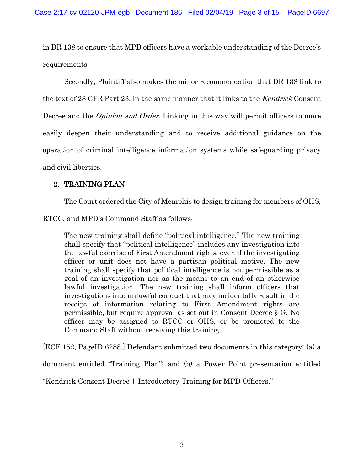in DR 138 to ensure that MPD officers have a workable understanding of the Decree's requirements.

Secondly, Plaintiff also makes the minor recommendation that DR 138 link to the text of 28 CFR Part 23, in the same manner that it links to the Kendrick Consent Decree and the *Opinion and Order*. Linking in this way will permit officers to more easily deepen their understanding and to receive additional guidance on the operation of criminal intelligence information systems while safeguarding privacy and civil liberties.

# 2. TRAINING PLAN

The Court ordered the City of Memphis to design training for members of OHS,

RTCC, and MPD's Command Staff as follows:

The new training shall define "political intelligence." The new training shall specify that "political intelligence" includes any investigation into the lawful exercise of First Amendment rights, even if the investigating officer or unit does not have a partisan political motive. The new training shall specify that political intelligence is not permissible as a goal of an investigation nor as the means to an end of an otherwise lawful investigation. The new training shall inform officers that investigations into unlawful conduct that may incidentally result in the receipt of information relating to First Amendment rights are permissible, but require approval as set out in Consent Decree § G. No officer may be assigned to RTCC or OHS, or be promoted to the Command Staff without receiving this training.

[ECF 152, PageID 6288.] Defendant submitted two documents in this category: (a) a

document entitled "Training Plan"; and (b) a Power Point presentation entitled

"Kendrick Consent Decree | Introductory Training for MPD Officers."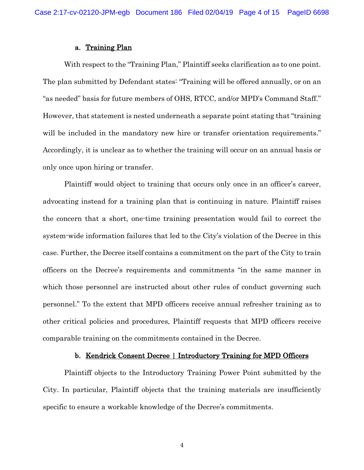#### a. Training Plan

With respect to the "Training Plan," Plaintiff seeks clarification as to one point. The plan submitted by Defendant states: "Training will be offered annually, or on an "as needed" basis for future members of OHS, RTCC, and/or MPD's Command Staff." However, that statement is nested underneath a separate point stating that "training will be included in the mandatory new hire or transfer orientation requirements." Accordingly, it is unclear as to whether the training will occur on an annual basis or only once upon hiring or transfer.

Plaintiff would object to training that occurs only once in an officer's career, advocating instead for a training plan that is continuing in nature. Plaintiff raises the concern that a short, one-time training presentation would fail to correct the system-wide information failures that led to the City's violation of the Decree in this case. Further, the Decree itself contains a commitment on the part of the City to train officers on the Decree's requirements and commitments "in the same manner in which those personnel are instructed about other rules of conduct governing such personnel." To the extent that MPD officers receive annual refresher training as to other critical policies and procedures, Plaintiff requests that MPD officers receive comparable training on the commitments contained in the Decree.

#### b. Kendrick Consent Decree | Introductory Training for MPD Officers

Plaintiff objects to the Introductory Training Power Point submitted by the City. In particular, Plaintiff objects that the training materials are insufficiently specific to ensure a workable knowledge of the Decree's commitments.

4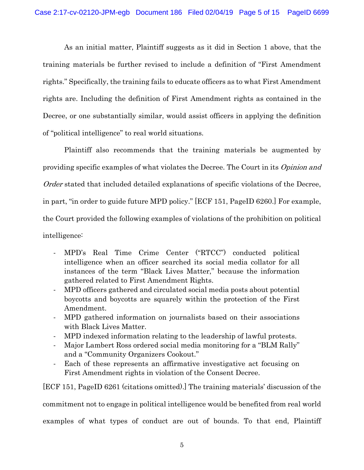As an initial matter, Plaintiff suggests as it did in Section 1 above, that the training materials be further revised to include a definition of "First Amendment rights." Specifically, the training fails to educate officers as to what First Amendment rights are. Including the definition of First Amendment rights as contained in the Decree, or one substantially similar, would assist officers in applying the definition of "political intelligence" to real world situations.

Plaintiff also recommends that the training materials be augmented by providing specific examples of what violates the Decree. The Court in its Opinion and Order stated that included detailed explanations of specific violations of the Decree, in part, "in order to guide future MPD policy." [ECF 151, PageID 6260.] For example, the Court provided the following examples of violations of the prohibition on political intelligence:

- MPD's Real Time Crime Center ("RTCC") conducted political intelligence when an officer searched its social media collator for all instances of the term "Black Lives Matter," because the information gathered related to First Amendment Rights.
- MPD officers gathered and circulated social media posts about potential boycotts and boycotts are squarely within the protection of the First Amendment.
- MPD gathered information on journalists based on their associations with Black Lives Matter.
- MPD indexed information relating to the leadership of lawful protests.
- Major Lambert Ross ordered social media monitoring for a "BLM Rally" and a "Community Organizers Cookout."
- Each of these represents an affirmative investigative act focusing on First Amendment rights in violation of the Consent Decree.

[ECF 151, PageID 6261 (citations omitted).] The training materials' discussion of the commitment not to engage in political intelligence would be benefited from real world examples of what types of conduct are out of bounds. To that end, Plaintiff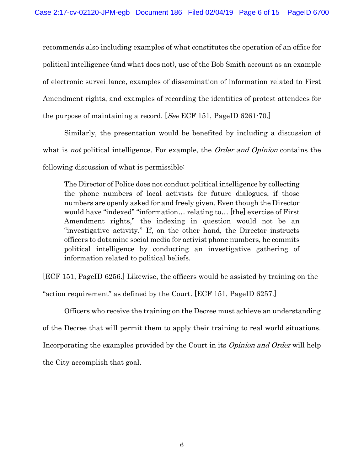recommends also including examples of what constitutes the operation of an office for political intelligence (and what does not), use of the Bob Smith account as an example of electronic surveillance, examples of dissemination of information related to First Amendment rights, and examples of recording the identities of protest attendees for the purpose of maintaining a record. [See ECF 151, PageID 6261-70.]

Similarly, the presentation would be benefited by including a discussion of what is *not* political intelligence. For example, the *Order and Opinion* contains the following discussion of what is permissible:

The Director of Police does not conduct political intelligence by collecting the phone numbers of local activists for future dialogues, if those numbers are openly asked for and freely given. Even though the Director would have "indexed" "information… relating to… [the] exercise of First Amendment rights," the indexing in question would not be an "investigative activity." If, on the other hand, the Director instructs officers to datamine social media for activist phone numbers, he commits political intelligence by conducting an investigative gathering of information related to political beliefs.

[ECF 151, PageID 6256.] Likewise, the officers would be assisted by training on the "action requirement" as defined by the Court. [ECF 151, PageID 6257.]

Officers who receive the training on the Decree must achieve an understanding of the Decree that will permit them to apply their training to real world situations. Incorporating the examples provided by the Court in its Opinion and Order will help the City accomplish that goal.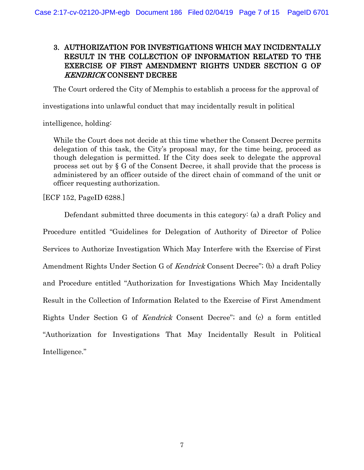# 3. AUTHORIZATION FOR INVESTIGATIONS WHICH MAY INCIDENTALLY RESULT IN THE COLLECTION OF INFORMATION RELATED TO THE EXERCISE OF FIRST AMENDMENT RIGHTS UNDER SECTION G OF KENDRICK CONSENT DECREE

The Court ordered the City of Memphis to establish a process for the approval of

investigations into unlawful conduct that may incidentally result in political

intelligence, holding:

While the Court does not decide at this time whether the Consent Decree permits delegation of this task, the City's proposal may, for the time being, proceed as though delegation is permitted. If the City does seek to delegate the approval process set out by § G of the Consent Decree, it shall provide that the process is administered by an officer outside of the direct chain of command of the unit or officer requesting authorization.

[ECF 152, PageID 6288.]

Defendant submitted three documents in this category: (a) a draft Policy and Procedure entitled "Guidelines for Delegation of Authority of Director of Police Services to Authorize Investigation Which May Interfere with the Exercise of First Amendment Rights Under Section G of Kendrick Consent Decree"; (b) a draft Policy and Procedure entitled "Authorization for Investigations Which May Incidentally Result in the Collection of Information Related to the Exercise of First Amendment Rights Under Section G of Kendrick Consent Decree"; and (c) a form entitled "Authorization for Investigations That May Incidentally Result in Political Intelligence."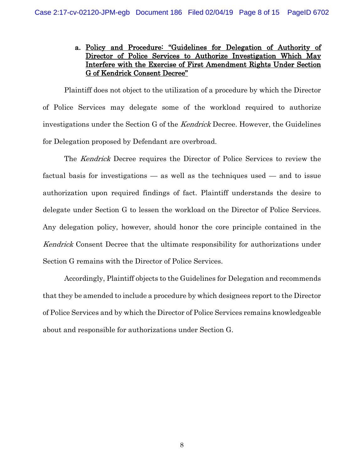## a. Policy and Procedure: "Guidelines for Delegation of Authority of Director of Police Services to Authorize Investigation Which May Interfere with the Exercise of First Amendment Rights Under Section G of Kendrick Consent Decree"

Plaintiff does not object to the utilization of a procedure by which the Director of Police Services may delegate some of the workload required to authorize investigations under the Section G of the Kendrick Decree. However, the Guidelines for Delegation proposed by Defendant are overbroad.

The Kendrick Decree requires the Director of Police Services to review the factual basis for investigations — as well as the techniques used — and to issue authorization upon required findings of fact. Plaintiff understands the desire to delegate under Section G to lessen the workload on the Director of Police Services. Any delegation policy, however, should honor the core principle contained in the Kendrick Consent Decree that the ultimate responsibility for authorizations under Section G remains with the Director of Police Services.

Accordingly, Plaintiff objects to the Guidelines for Delegation and recommends that they be amended to include a procedure by which designees report to the Director of Police Services and by which the Director of Police Services remains knowledgeable about and responsible for authorizations under Section G.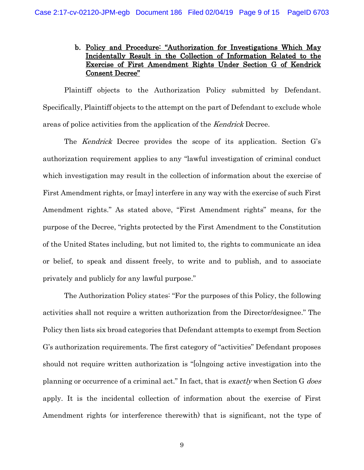## b. Policy and Procedure: "Authorization for Investigations Which May Incidentally Result in the Collection of Information Related to the Exercise of First Amendment Rights Under Section G of Kendrick Consent Decree"

Plaintiff objects to the Authorization Policy submitted by Defendant. Specifically, Plaintiff objects to the attempt on the part of Defendant to exclude whole areas of police activities from the application of the Kendrick Decree.

The Kendrick Decree provides the scope of its application. Section G's authorization requirement applies to any "lawful investigation of criminal conduct which investigation may result in the collection of information about the exercise of First Amendment rights, or [may] interfere in any way with the exercise of such First Amendment rights." As stated above, "First Amendment rights" means, for the purpose of the Decree, "rights protected by the First Amendment to the Constitution of the United States including, but not limited to, the rights to communicate an idea or belief, to speak and dissent freely, to write and to publish, and to associate privately and publicly for any lawful purpose."

The Authorization Policy states: "For the purposes of this Policy, the following activities shall not require a written authorization from the Director/designee." The Policy then lists six broad categories that Defendant attempts to exempt from Section G's authorization requirements. The first category of "activities" Defendant proposes should not require written authorization is "[o]ngoing active investigation into the planning or occurrence of a criminal act." In fact, that is *exactly* when Section G *does* apply. It is the incidental collection of information about the exercise of First Amendment rights (or interference therewith) that is significant, not the type of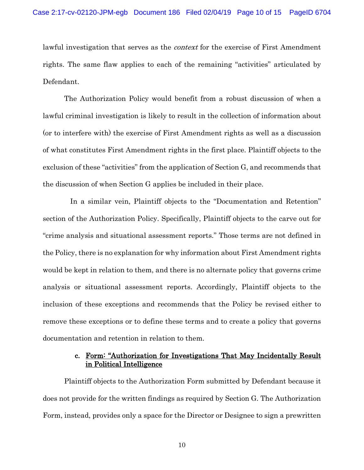lawful investigation that serves as the *context* for the exercise of First Amendment rights. The same flaw applies to each of the remaining "activities" articulated by Defendant.

The Authorization Policy would benefit from a robust discussion of when a lawful criminal investigation is likely to result in the collection of information about (or to interfere with) the exercise of First Amendment rights as well as a discussion of what constitutes First Amendment rights in the first place. Plaintiff objects to the exclusion of these "activities" from the application of Section G, and recommends that the discussion of when Section G applies be included in their place.

 In a similar vein, Plaintiff objects to the "Documentation and Retention" section of the Authorization Policy. Specifically, Plaintiff objects to the carve out for "crime analysis and situational assessment reports." Those terms are not defined in the Policy, there is no explanation for why information about First Amendment rights would be kept in relation to them, and there is no alternate policy that governs crime analysis or situational assessment reports. Accordingly, Plaintiff objects to the inclusion of these exceptions and recommends that the Policy be revised either to remove these exceptions or to define these terms and to create a policy that governs documentation and retention in relation to them.

## c. Form: "Authorization for Investigations That May Incidentally Result in Political Intelligence

Plaintiff objects to the Authorization Form submitted by Defendant because it does not provide for the written findings as required by Section G. The Authorization Form, instead, provides only a space for the Director or Designee to sign a prewritten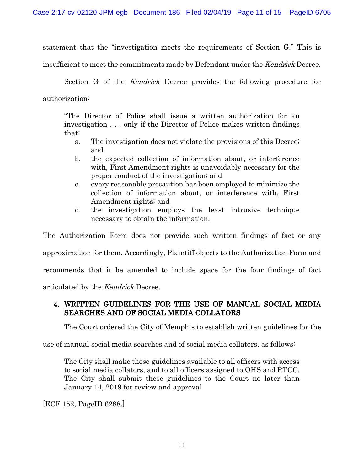statement that the "investigation meets the requirements of Section G." This is

insufficient to meet the commitments made by Defendant under the *Kendrick* Decree.

Section G of the Kendrick Decree provides the following procedure for authorization:

"The Director of Police shall issue a written authorization for an investigation . . . only if the Director of Police makes written findings that:

- a. The investigation does not violate the provisions of this Decree; and
- b. the expected collection of information about, or interference with, First Amendment rights is unavoidably necessary for the proper conduct of the investigation; and
- c. every reasonable precaution has been employed to minimize the collection of information about, or interference with, First Amendment rights; and
- d. the investigation employs the least intrusive technique necessary to obtain the information.

The Authorization Form does not provide such written findings of fact or any approximation for them. Accordingly, Plaintiff objects to the Authorization Form and recommends that it be amended to include space for the four findings of fact articulated by the Kendrick Decree.

## 4. WRITTEN GUIDELINES FOR THE USE OF MANUAL SOCIAL MEDIA SEARCHES AND OF SOCIAL MEDIA COLLATORS

The Court ordered the City of Memphis to establish written guidelines for the

use of manual social media searches and of social media collators, as follows:

The City shall make these guidelines available to all officers with access to social media collators, and to all officers assigned to OHS and RTCC. The City shall submit these guidelines to the Court no later than January 14, 2019 for review and approval.

[ECF 152, PageID 6288.]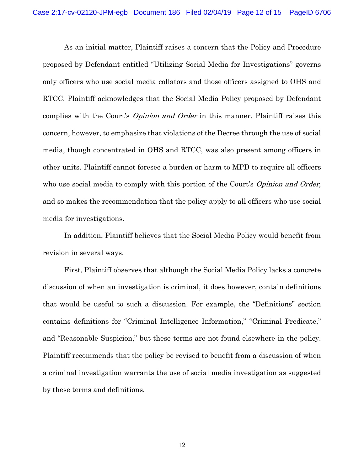As an initial matter, Plaintiff raises a concern that the Policy and Procedure proposed by Defendant entitled "Utilizing Social Media for Investigations" governs only officers who use social media collators and those officers assigned to OHS and RTCC. Plaintiff acknowledges that the Social Media Policy proposed by Defendant complies with the Court's *Opinion and Order* in this manner. Plaintiff raises this concern, however, to emphasize that violations of the Decree through the use of social media, though concentrated in OHS and RTCC, was also present among officers in other units. Plaintiff cannot foresee a burden or harm to MPD to require all officers who use social media to comply with this portion of the Court's *Opinion and Order*, and so makes the recommendation that the policy apply to all officers who use social media for investigations.

In addition, Plaintiff believes that the Social Media Policy would benefit from revision in several ways.

First, Plaintiff observes that although the Social Media Policy lacks a concrete discussion of when an investigation is criminal, it does however, contain definitions that would be useful to such a discussion. For example, the "Definitions" section contains definitions for "Criminal Intelligence Information," "Criminal Predicate," and "Reasonable Suspicion," but these terms are not found elsewhere in the policy. Plaintiff recommends that the policy be revised to benefit from a discussion of when a criminal investigation warrants the use of social media investigation as suggested by these terms and definitions.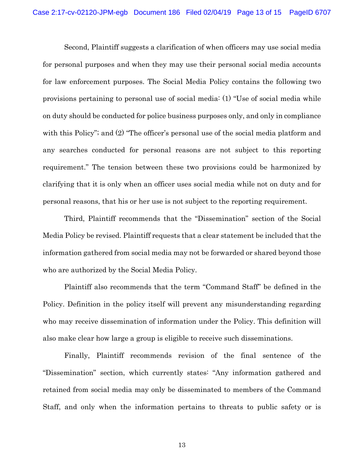Second, Plaintiff suggests a clarification of when officers may use social media for personal purposes and when they may use their personal social media accounts for law enforcement purposes. The Social Media Policy contains the following two provisions pertaining to personal use of social media: (1) "Use of social media while on duty should be conducted for police business purposes only, and only in compliance with this Policy"; and  $(2)$  "The officer's personal use of the social media platform and any searches conducted for personal reasons are not subject to this reporting requirement." The tension between these two provisions could be harmonized by clarifying that it is only when an officer uses social media while not on duty and for personal reasons, that his or her use is not subject to the reporting requirement.

Third, Plaintiff recommends that the "Dissemination" section of the Social Media Policy be revised. Plaintiff requests that a clear statement be included that the information gathered from social media may not be forwarded or shared beyond those who are authorized by the Social Media Policy.

Plaintiff also recommends that the term "Command Staff" be defined in the Policy. Definition in the policy itself will prevent any misunderstanding regarding who may receive dissemination of information under the Policy. This definition will also make clear how large a group is eligible to receive such disseminations.

Finally, Plaintiff recommends revision of the final sentence of the "Dissemination" section, which currently states: "Any information gathered and retained from social media may only be disseminated to members of the Command Staff, and only when the information pertains to threats to public safety or is

13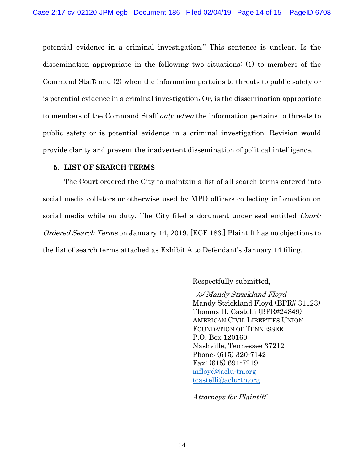potential evidence in a criminal investigation." This sentence is unclear. Is the dissemination appropriate in the following two situations: (1) to members of the Command Staff; and (2) when the information pertains to threats to public safety or is potential evidence in a criminal investigation; Or, is the dissemination appropriate to members of the Command Staff only when the information pertains to threats to public safety or is potential evidence in a criminal investigation. Revision would provide clarity and prevent the inadvertent dissemination of political intelligence.

## 5. LIST OF SEARCH TERMS

The Court ordered the City to maintain a list of all search terms entered into social media collators or otherwise used by MPD officers collecting information on social media while on duty. The City filed a document under seal entitled *Court-*Ordered Search Terms on January 14, 2019. [ECF 183.] Plaintiff has no objections to the list of search terms attached as Exhibit A to Defendant's January 14 filing.

Respectfully submitted,

 /s/ Mandy Strickland Floyd Mandy Strickland Floyd (BPR# 31123) Thomas H. Castelli (BPR#24849) AMERICAN CIVIL LIBERTIES UNION FOUNDATION OF TENNESSEE P.O. Box 120160 Nashville, Tennessee 37212 Phone: (615) 320-7142 Fax: (615) 691-7219 [mfloyd@aclu-tn.org](mailto:mfloyd@aclu-tn.org) [tcastelli@aclu-tn.org](mailto:tcastelli@aclu-tn.org)

Attorneys for Plaintiff